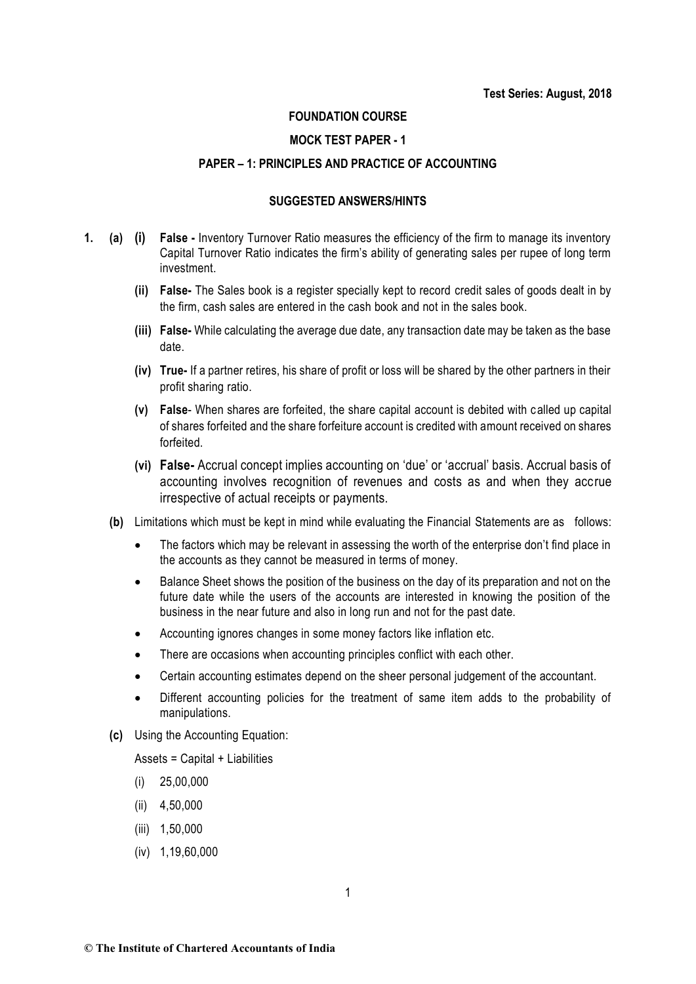#### **FOUNDATION COURSE**

#### **MOCK TEST PAPER - 1**

#### **PAPER – 1: PRINCIPLES AND PRACTICE OF ACCOUNTING**

### **SUGGESTED ANSWERS/HINTS**

- **1. (a) (i) False -** Inventory Turnover Ratio measures the efficiency of the firm to manage its inventory Capital Turnover Ratio indicates the firm's ability of generating sales per rupee of long term investment.
	- **(ii) False-** The Sales book is a register specially kept to record credit sales of goods dealt in by the firm, cash sales are entered in the cash book and not in the sales book.
	- **(iii) False-** While calculating the average due date, any transaction date may be taken as the base date.
	- **(iv) True-** If a partner retires, his share of profit or loss will be shared by the other partners in their profit sharing ratio.
	- **(v) False** When shares are forfeited, the share capital account is debited with called up capital of shares forfeited and the share forfeiture account is credited with amount received on shares forfeited.
	- **(vi) False-** Accrual concept implies accounting on 'due' or 'accrual' basis. Accrual basis of accounting involves recognition of revenues and costs as and when they accrue irrespective of actual receipts or payments.
	- **(b)** Limitations which must be kept in mind while evaluating the Financial Statements are as follows:
		- The factors which may be relevant in assessing the worth of the enterprise don't find place in the accounts as they cannot be measured in terms of money.
		- Balance Sheet shows the position of the business on the day of its preparation and not on the future date while the users of the accounts are interested in knowing the position of the business in the near future and also in long run and not for the past date.
		- Accounting ignores changes in some money factors like inflation etc.
		- There are occasions when accounting principles conflict with each other.
		- Certain accounting estimates depend on the sheer personal judgement of the accountant.
		- Different accounting policies for the treatment of same item adds to the probability of manipulations.
	- **(c)** Using the Accounting Equation:

Assets = Capital + Liabilities

- (i) 25,00,000
- (ii) 4,50,000
- (iii) 1,50,000
- (iv) 1,19,60,000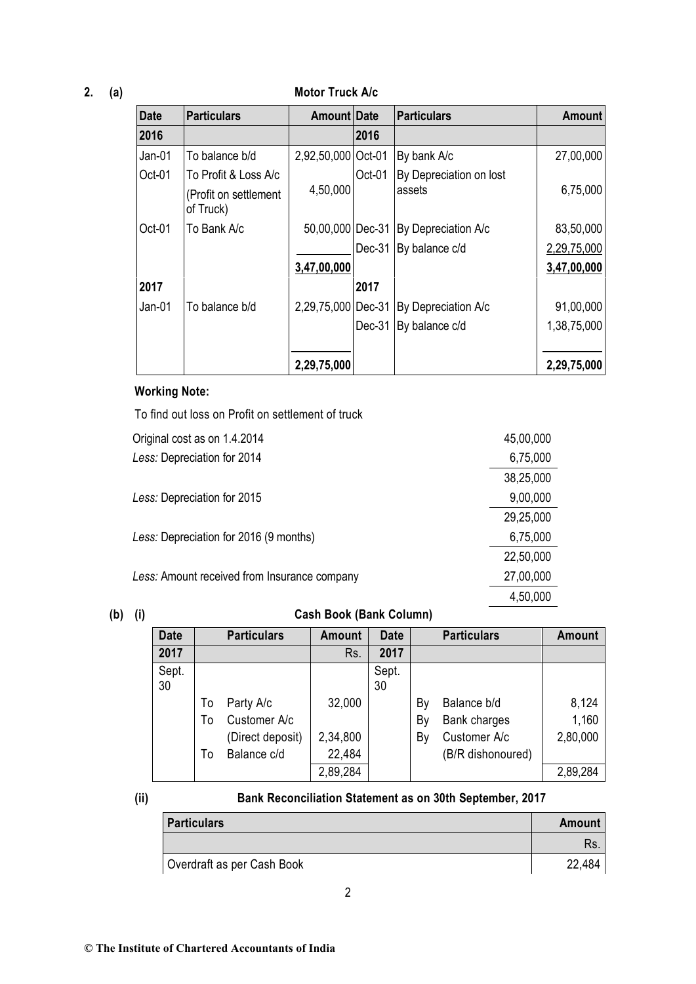## **2. (a) Motor Truck A/c**

| <b>Date</b> | <b>Particulars</b>                 | Amount Date        |        | <b>Particulars</b>      | Amount      |
|-------------|------------------------------------|--------------------|--------|-------------------------|-------------|
| 2016        |                                    |                    | 2016   |                         |             |
| $Jan-01$    | To balance b/d                     | 2,92,50,000 Oct-01 |        | By bank A/c             | 27,00,000   |
| Oct-01      | To Profit & Loss A/c               |                    | Oct-01 | By Depreciation on lost |             |
|             | (Profit on settlement<br>of Truck) | 4,50,000           |        | assets                  | 6,75,000    |
| Oct-01      | To Bank A/c                        | 50,00,000 Dec-31   |        | By Depreciation A/c     | 83,50,000   |
|             |                                    |                    | Dec-31 | By balance c/d          | 2,29,75,000 |
|             |                                    | 3,47,00,000        |        |                         | 3,47,00,000 |
| 2017        |                                    |                    | 2017   |                         |             |
| Jan-01      | To balance b/d                     | 2,29,75,000 Dec-31 |        | By Depreciation A/c     | 91,00,000   |
|             |                                    |                    | Dec-31 | By balance c/d          | 1,38,75,000 |
|             |                                    |                    |        |                         |             |
|             |                                    | 2,29,75,000        |        |                         | 2,29,75,000 |

## **Working Note:**

To find out loss on Profit on settlement of truck

| Original cost as on 1.4.2014                 | 45,00,000 |
|----------------------------------------------|-----------|
| Less: Depreciation for 2014                  | 6,75,000  |
|                                              | 38,25,000 |
| Less: Depreciation for 2015                  | 9,00,000  |
|                                              | 29,25,000 |
| Less: Depreciation for 2016 (9 months)       | 6,75,000  |
|                                              | 22,50,000 |
| Less: Amount received from Insurance company | 27,00,000 |
|                                              | 4,50,000  |

## **(b) (i) Cash Book (Bank Column)**

| <b>Date</b> |          | <b>Particulars</b>              | Amount             | <b>Date</b> |          | <b>Particulars</b>                | <b>Amount</b>  |
|-------------|----------|---------------------------------|--------------------|-------------|----------|-----------------------------------|----------------|
| 2017        |          |                                 | Rs.                | 2017        |          |                                   |                |
| Sept.<br>30 |          |                                 |                    | Sept.<br>30 |          |                                   |                |
|             | To<br>To | Party A/c<br>Customer A/c       | 32,000             |             | Bγ<br>By | Balance b/d<br>Bank charges       | 8,124<br>1,160 |
|             | Т٥       | (Direct deposit)<br>Balance c/d | 2,34,800<br>22,484 |             | By       | Customer A/c<br>(B/R dishonoured) | 2,80,000       |
|             |          |                                 | 2,89,284           |             |          |                                   | 2,89,284       |

## **(ii) Bank Reconciliation Statement as on 30th September, 2017**

| <b>Particulars</b>         | Amount |
|----------------------------|--------|
|                            | Rs.    |
| Overdraft as per Cash Book | 22,484 |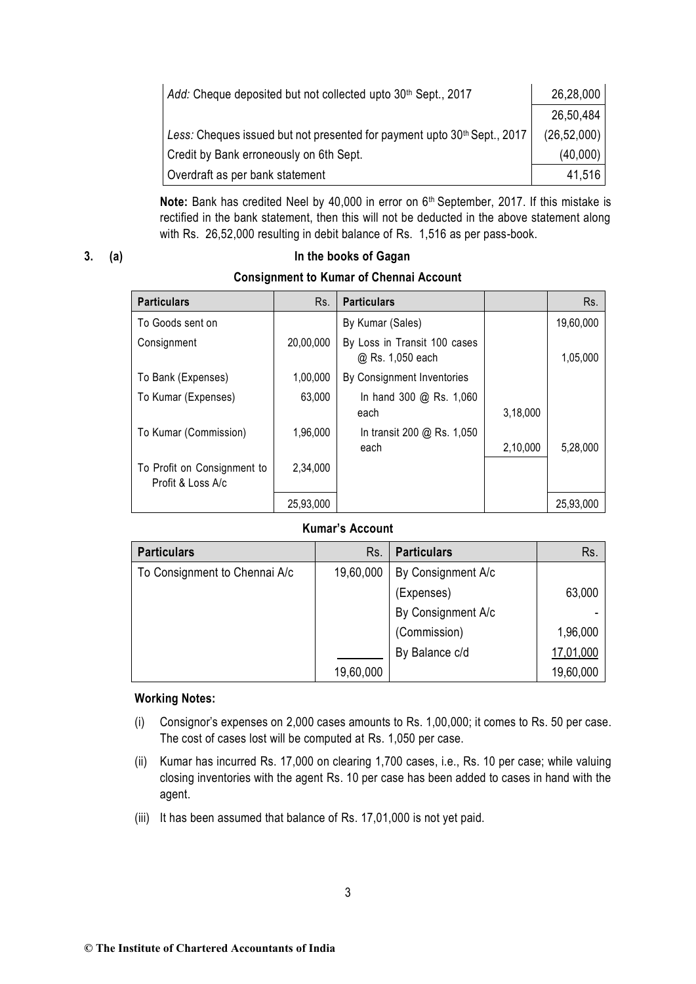| Add: Cheque deposited but not collected upto 30 <sup>th</sup> Sept., 2017            | 26,28,000     |
|--------------------------------------------------------------------------------------|---------------|
|                                                                                      | 26,50,484     |
| Less: Cheques issued but not presented for payment upto 30 <sup>th</sup> Sept., 2017 | (26, 52, 000) |
| Credit by Bank erroneously on 6th Sept.                                              | (40,000)      |
| Overdraft as per bank statement                                                      | 41,516        |

Note: Bank has credited Neel by 40,000 in error on 6<sup>th</sup> September, 2017. If this mistake is rectified in the bank statement, then this will not be deducted in the above statement along with Rs. 26,52,000 resulting in debit balance of Rs. 1,516 as per pass-book.

## **3. (a) In the books of Gagan Consignment to Kumar of Chennai Account**

| <b>Particulars</b>                               | Rs.       | <b>Particulars</b>                               |          | Rs.       |
|--------------------------------------------------|-----------|--------------------------------------------------|----------|-----------|
| To Goods sent on                                 |           | By Kumar (Sales)                                 |          | 19,60,000 |
| Consignment                                      | 20,00,000 | By Loss in Transit 100 cases<br>@ Rs. 1,050 each |          | 1,05,000  |
| To Bank (Expenses)                               | 1,00,000  | By Consignment Inventories                       |          |           |
| To Kumar (Expenses)                              | 63,000    | In hand 300 @ Rs. 1,060<br>each                  | 3,18,000 |           |
| To Kumar (Commission)                            | 1,96,000  | In transit 200 @ Rs. 1,050<br>each               | 2,10,000 | 5,28,000  |
| To Profit on Consignment to<br>Profit & Loss A/c | 2,34,000  |                                                  |          |           |
|                                                  | 25,93,000 |                                                  |          | 25,93,000 |

### **Kumar's Account**

| <b>Particulars</b>            | Rs.       | <b>Particulars</b> | Rs.       |
|-------------------------------|-----------|--------------------|-----------|
| To Consignment to Chennai A/c | 19,60,000 | By Consignment A/c |           |
|                               |           | (Expenses)         | 63,000    |
|                               |           | By Consignment A/c |           |
|                               |           | (Commission)       | 1,96,000  |
|                               |           | By Balance c/d     | 17,01,000 |
|                               | 19,60,000 |                    | 19,60,000 |

### **Working Notes:**

- (i) Consignor's expenses on 2,000 cases amounts to Rs. 1,00,000; it comes to Rs. 50 per case. The cost of cases lost will be computed at Rs. 1,050 per case.
- (ii) Kumar has incurred Rs. 17,000 on clearing 1,700 cases, i.e., Rs. 10 per case; while valuing closing inventories with the agent Rs. 10 per case has been added to cases in hand with the agent.
- (iii) It has been assumed that balance of Rs. 17,01,000 is not yet paid.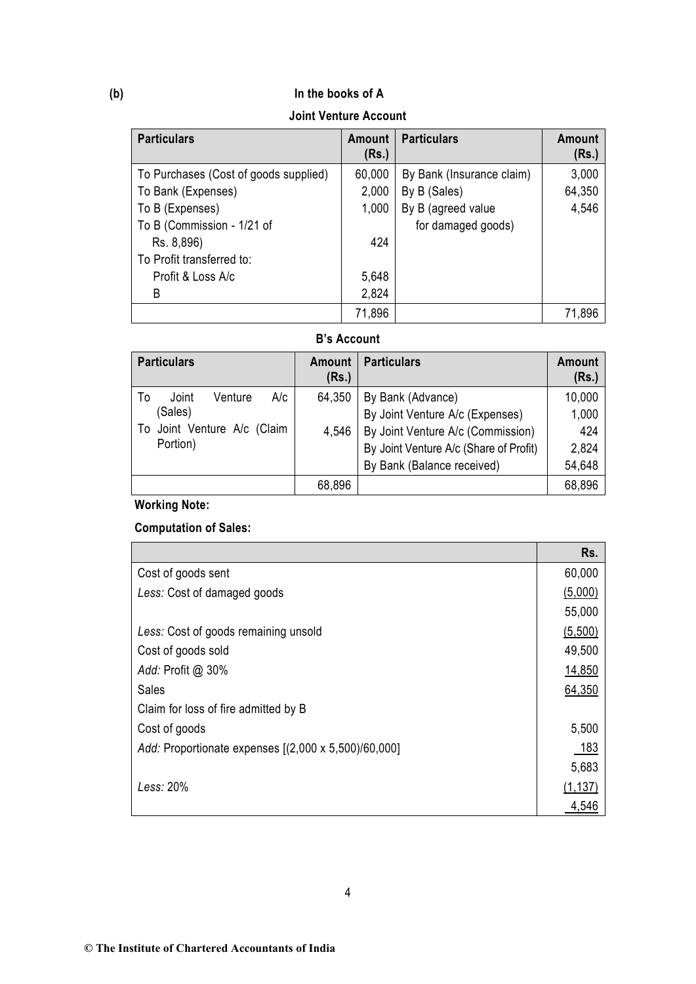## **(b) In the books of A**

**Joint Venture Account**

| <b>Particulars</b>                    | Amount<br>(Rs.) | <b>Particulars</b>        | <b>Amount</b><br>(Rs.) |
|---------------------------------------|-----------------|---------------------------|------------------------|
| To Purchases (Cost of goods supplied) | 60,000          | By Bank (Insurance claim) | 3,000                  |
| To Bank (Expenses)                    | 2,000           | By B (Sales)              | 64,350                 |
| To B (Expenses)                       | 1,000           | By B (agreed value        | 4,546                  |
| To B (Commission - 1/21 of            |                 | for damaged goods)        |                        |
| Rs. 8,896)                            | 424             |                           |                        |
| To Profit transferred to:             |                 |                           |                        |
| Profit & Loss A/c                     | 5,648           |                           |                        |
| B                                     | 2,824           |                           |                        |
|                                       | 71,896          |                           | 71.896                 |

### **B's Account**

| <b>Particulars</b>            | Amount<br>(Rs.) | <b>Particulars</b>                     | Amount<br>(Rs.) |
|-------------------------------|-----------------|----------------------------------------|-----------------|
| A/c<br>Joint<br>Venture<br>To | 64,350          | By Bank (Advance)                      | 10,000          |
| (Sales)                       |                 | By Joint Venture A/c (Expenses)        | 1,000           |
| To Joint Venture A/c (Claim   | 4,546           | By Joint Venture A/c (Commission)      | 424             |
| Portion)                      |                 | By Joint Venture A/c (Share of Profit) | 2,824           |
|                               |                 | By Bank (Balance received)             | 54,648          |
|                               | 68,896          |                                        | 68,896          |

## **Working Note:**

## **Computation of Sales:**

|                                                      | Rs.      |
|------------------------------------------------------|----------|
| Cost of goods sent                                   | 60,000   |
| Less: Cost of damaged goods                          | (5,000)  |
|                                                      | 55,000   |
| Less: Cost of goods remaining unsold                 | (5,500)  |
| Cost of goods sold                                   | 49,500   |
| Add: Profit @ 30%                                    | 14,850   |
| Sales                                                | 64,350   |
| Claim for loss of fire admitted by B                 |          |
| Cost of goods                                        | 5,500    |
| Add: Proportionate expenses [(2,000 x 5,500)/60,000] | 183      |
|                                                      | 5,683    |
| Less: 20%                                            | (1, 137) |
|                                                      | 4,546    |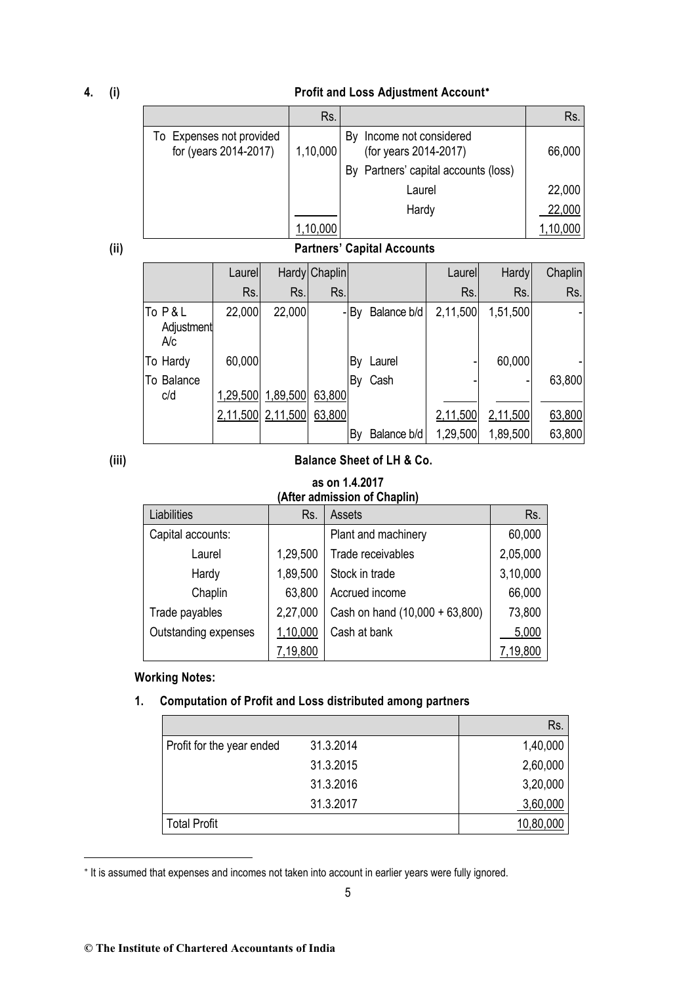#### **4. (i) Profit and Loss Adjustment Account**

|                                                   | Rs.              |                                                      | Rs.    |
|---------------------------------------------------|------------------|------------------------------------------------------|--------|
| To Expenses not provided<br>for (years 2014-2017) | 1,10,000         | Income not considered<br>B٧<br>(for years 2014-2017) | 66,000 |
|                                                   |                  | By Partners' capital accounts (loss)                 |        |
|                                                   |                  | Laurel                                               | 22,000 |
|                                                   |                  | Hardy                                                | 22,000 |
|                                                   | $^\circ$ ,10,000 |                                                      |        |

## **(ii) Partners' Capital Accounts**

|                             | Laurel |                   | Hardy Chaplin |      |             | Laurel   | <b>Hardy</b> | Chaplin |
|-----------------------------|--------|-------------------|---------------|------|-------------|----------|--------------|---------|
|                             | Rs.    | Rs.               | Rs.           |      |             | Rs.      | Rs.          | Rs.     |
| To P&L<br>Adjustment<br>A/c | 22,000 | 22,000            |               | - By | Balance b/d | 2,11,500 | 1,51,500     |         |
| To Hardy                    | 60,000 |                   |               | By   | Laurel      |          | 60,000       |         |
| To Balance<br>c/d           |        | 1,29,500 1,89,500 | 63,800        | By   | Cash        |          |              | 63,800  |
|                             |        | 2,11,500 2,11,500 | 63,800        |      |             | 2,11,500 | 2,11,500     | 63,800  |
|                             |        |                   |               | By   | Balance b/d | 1,29,500 | 1,89,500     | 63,800  |

1

## **(iii) Balance Sheet of LH & Co.**

#### **as on 1.4.2017 (After admission of Chaplin)**

| Liabilities          | Rs.      | Assets                         | Rs.      |
|----------------------|----------|--------------------------------|----------|
| Capital accounts:    |          | Plant and machinery            | 60,000   |
| Laurel               | 1,29,500 | Trade receivables              | 2,05,000 |
| Hardy                | 1,89,500 | Stock in trade                 | 3,10,000 |
| Chaplin              | 63,800   | Accrued income                 | 66,000   |
| Trade payables       | 2,27,000 | Cash on hand (10,000 + 63,800) | 73,800   |
| Outstanding expenses | 1,10,000 | Cash at bank                   | 5,000    |
|                      | 7,19,800 |                                | 7,19,800 |

#### **Working Notes:**

## **1. Computation of Profit and Loss distributed among partners**

|                           |           | Rs.       |
|---------------------------|-----------|-----------|
| Profit for the year ended | 31.3.2014 | 1,40,000  |
|                           | 31.3.2015 | 2,60,000  |
|                           | 31.3.2016 | 3,20,000  |
|                           | 31.3.2017 | 3,60,000  |
| <b>Total Profit</b>       |           | 10,80,000 |

<sup>\*</sup> It is assumed that expenses and incomes not taken into account in earlier years were fully ignored.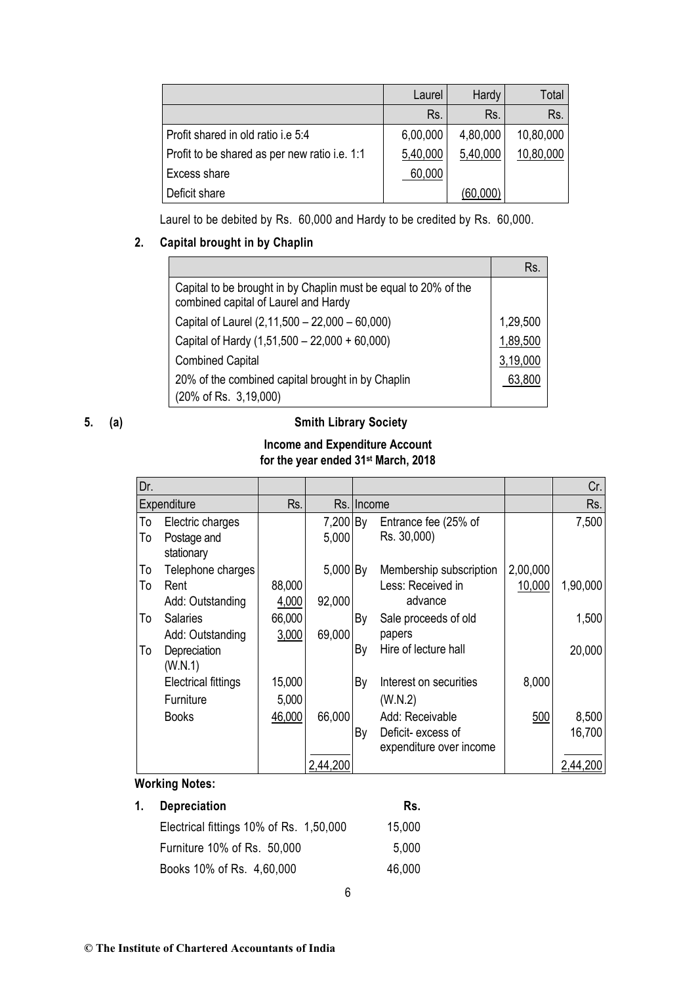|                                               | Laurel   | Hardy    | Total     |
|-----------------------------------------------|----------|----------|-----------|
|                                               | Rs.      | Rs.      | Rs.       |
| Profit shared in old ratio i.e 5:4            | 6,00,000 | 4,80,000 | 10,80,000 |
| Profit to be shared as per new ratio i.e. 1:1 | 5,40,000 | 5,40,000 | 10,80,000 |
| Excess share                                  | 60,000   |          |           |
| Deficit share                                 |          | (60,000) |           |

Laurel to be debited by Rs. 60,000 and Hardy to be credited by Rs. 60,000.

### **2. Capital brought in by Chaplin**

|                                                                                                         | Rs       |
|---------------------------------------------------------------------------------------------------------|----------|
| Capital to be brought in by Chaplin must be equal to 20% of the<br>combined capital of Laurel and Hardy |          |
| Capital of Laurel (2,11,500 - 22,000 - 60,000)                                                          | 1,29,500 |
| Capital of Hardy (1,51,500 - 22,000 + 60,000)                                                           | 1,89,500 |
| <b>Combined Capital</b>                                                                                 | 3,19,000 |
| 20% of the combined capital brought in by Chaplin                                                       | 63,800   |
| (20% of Rs. 3,19,000)                                                                                   |          |

## **5. (a) Smith Library Society**

# **Income and Expenditure Account**

## **for the year ended 31st March, 2018**

| Dr.            |                                                                  |                           |                    |                                                                       |                    | Cr.               |
|----------------|------------------------------------------------------------------|---------------------------|--------------------|-----------------------------------------------------------------------|--------------------|-------------------|
|                | Expenditure                                                      | Rs.                       |                    | Rs. Income                                                            |                    | Rs.               |
| То<br>To       | Electric charges<br>Postage and<br>stationary                    |                           | 7,200 By<br>5,000  | Entrance fee (25% of<br>Rs. 30,000)                                   |                    | 7,500             |
| To<br>To<br>To | Telephone charges<br>Rent<br>Add: Outstanding<br><b>Salaries</b> | 88,000<br>4,000<br>66,000 | 5,000 By<br>92,000 | Membership subscription<br>Less: Received in<br>advance               | 2,00,000<br>10,000 | 1,90,000<br>1,500 |
| To             | Add: Outstanding<br>Depreciation<br>(W.N.1)                      | 3,000                     | 69,000             | By<br>Sale proceeds of old<br>papers<br>Hire of lecture hall<br>By    |                    | 20,000            |
|                | <b>Electrical fittings</b><br>Furniture                          | 15,000<br>5,000           |                    | By<br>Interest on securities<br>(W.N.2)                               | 8,000              |                   |
|                | <b>Books</b>                                                     | 46,000                    | 66,000             | Add: Receivable<br>By<br>Deficit-excess of<br>expenditure over income | 500                | 8,500<br>16,700   |
|                |                                                                  |                           | 2,44,200           |                                                                       |                    | 2,44,200          |

## **Working Notes:**

# 1. Depreciation Rs. Electrical fittings 10% of Rs. 1,50,000 15,000 Furniture 10% of Rs. 50,000 5,000 Books 10% of Rs. 4,60,000 46,000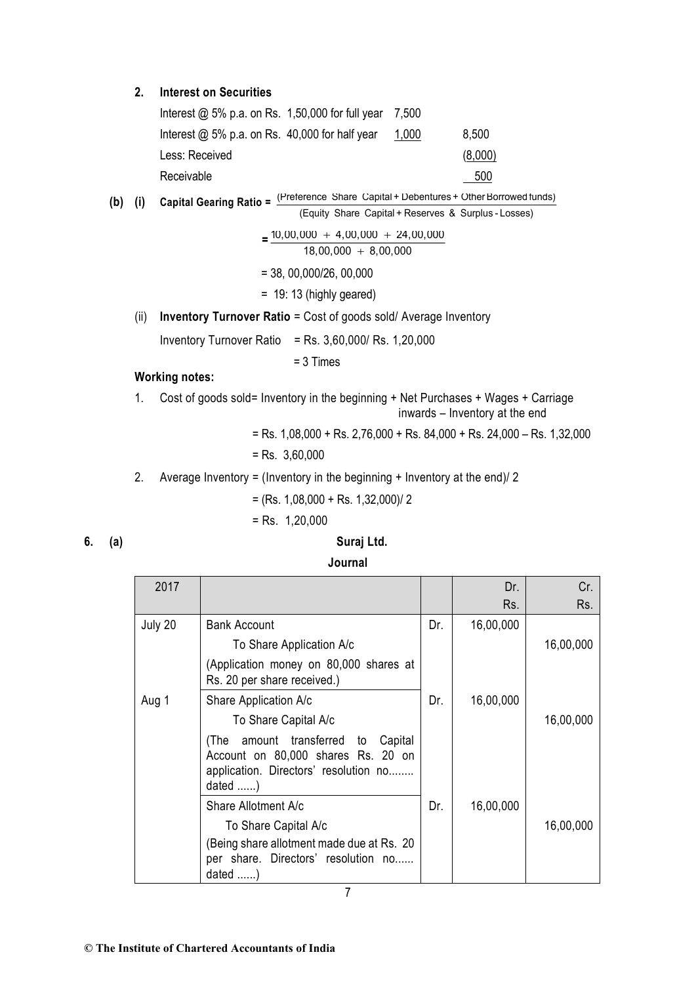#### **2. Interest on Securities**

| Interest $@$ 5% p.a. on Rs. 1,50,000 for full year 7,500 |       |         |
|----------------------------------------------------------|-------|---------|
| Interest $@$ 5% p.a. on Rs. 40,000 for half year         | 1,000 | 8,500   |
| Less: Received                                           |       | (8,000) |
| Receivable                                               |       | 500     |

(b) (i) Capital Gearing Ratio = 
$$
\frac{\text{(Reference Share Capital + Debentures + Other Borrowed funds)}}{\text{(b)}}
$$

(Equity Share Capital + Reserves & Surplus - Losses)

 $=$  $\frac{10,00,000 + 4,00,000 + 24,00,000}{2}$  $18,00,000$   $+$   $8,00,000$ = 38, 00,000/26, 00,000

 $= 19: 13$  (highly geared)

(ii) **Inventory Turnover Ratio** = Cost of goods sold/ Average Inventory

Inventory Turnover Ratio = Rs.  $3,60,000$ / Rs.  $1,20,000$ 

= 3 Times

### **Working notes:**

1. Cost of goods sold= Inventory in the beginning + Net Purchases + Wages + Carriage inwards – Inventory at the end

 $=$  Rs. 1,08,000 + Rs. 2,76,000 + Rs. 84,000 + Rs. 24,000 – Rs. 1,32,000

$$
=
$$
 Rs. 3,60,000

2. Average Inventory = (Inventory in the beginning + Inventory at the end)/ 2

 $=$  (Rs. 1,08,000 + Rs. 1,32,000)/2

 $=$  Rs. 1.20,000

### **6. (a) Suraj Ltd.**

| Journal |                                                                                                                                                                                              |     |            |            |  |
|---------|----------------------------------------------------------------------------------------------------------------------------------------------------------------------------------------------|-----|------------|------------|--|
| 2017    |                                                                                                                                                                                              |     | Dr.<br>Rs. | Cr.<br>Rs. |  |
| July 20 | <b>Bank Account</b><br>To Share Application A/c<br>(Application money on 80,000 shares at<br>Rs. 20 per share received.)                                                                     | Dr. | 16,00,000  | 16,00,000  |  |
| Aug 1   | Share Application A/c<br>To Share Capital A/c<br>amount transferred<br>Capital<br>(The<br>to<br>Account on 80,000 shares Rs. 20 on<br>application. Directors' resolution no<br>dated $\dots$ | Dr. | 16,00,000  | 16,00,000  |  |
|         | Share Allotment A/c<br>To Share Capital A/c<br>(Being share allotment made due at Rs. 20)<br>per share. Directors' resolution no<br>dated $\dots$ .)                                         | Dr. | 16,00,000  | 16,00,000  |  |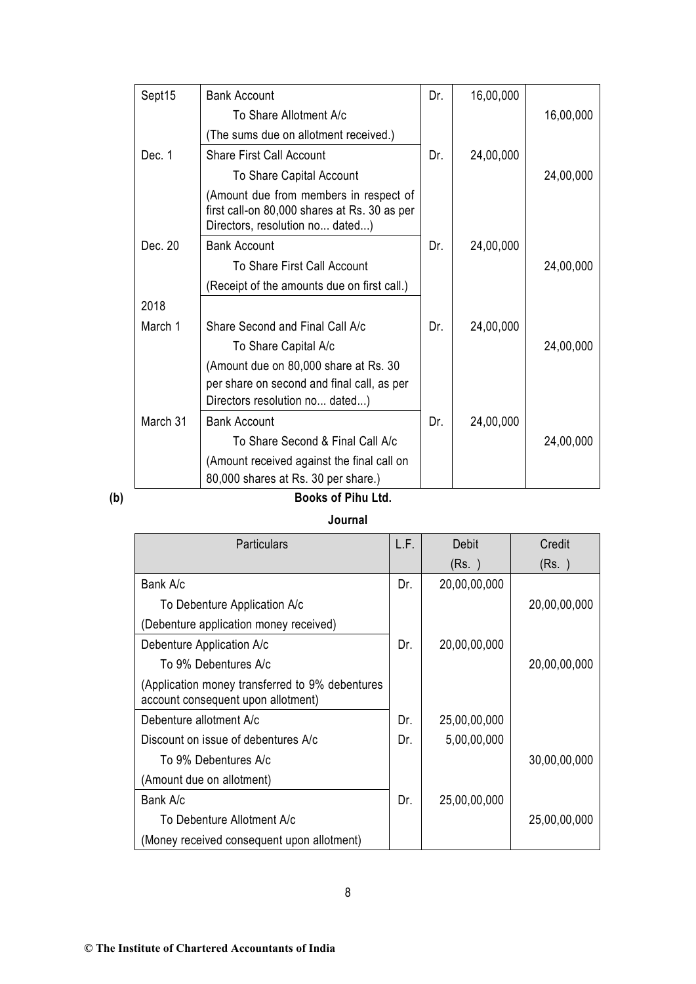| Sept15   | <b>Bank Account</b>                                                                                                       | Dr. | 16,00,000 |           |
|----------|---------------------------------------------------------------------------------------------------------------------------|-----|-----------|-----------|
|          | To Share Allotment A/c                                                                                                    |     |           | 16,00,000 |
|          | (The sums due on allotment received.)                                                                                     |     |           |           |
| Dec. 1   | <b>Share First Call Account</b>                                                                                           | Dr. | 24,00,000 |           |
|          | To Share Capital Account                                                                                                  |     |           | 24,00,000 |
|          | (Amount due from members in respect of<br>first call-on 80,000 shares at Rs. 30 as per<br>Directors, resolution no dated) |     |           |           |
| Dec. 20  | <b>Bank Account</b>                                                                                                       | Dr. | 24,00,000 |           |
|          | To Share First Call Account                                                                                               |     |           | 24,00,000 |
|          | (Receipt of the amounts due on first call.)                                                                               |     |           |           |
| 2018     |                                                                                                                           |     |           |           |
| March 1  | Share Second and Final Call A/c                                                                                           | Dr. | 24,00,000 |           |
|          | To Share Capital A/c                                                                                                      |     |           | 24,00,000 |
|          | (Amount due on 80,000 share at Rs. 30                                                                                     |     |           |           |
|          | per share on second and final call, as per                                                                                |     |           |           |
|          | Directors resolution no dated)                                                                                            |     |           |           |
| March 31 | <b>Bank Account</b>                                                                                                       | Dr. | 24,00,000 |           |
|          | To Share Second & Final Call A/c                                                                                          |     |           | 24,00,000 |
|          | (Amount received against the final call on                                                                                |     |           |           |
|          | 80,000 shares at Rs. 30 per share.)                                                                                       |     |           |           |

# **(b) Books of Pihu Ltd.**

### **Journal**

| <b>Particulars</b>                                                                    | L.F. | Debit        | Credit       |
|---------------------------------------------------------------------------------------|------|--------------|--------------|
|                                                                                       |      | (Rs. )       | (Rs. )       |
| Bank A/c                                                                              | Dr.  | 20,00,00,000 |              |
| To Debenture Application A/c                                                          |      |              | 20,00,00,000 |
| (Debenture application money received)                                                |      |              |              |
| Debenture Application A/c                                                             | Dr.  | 20,00,00,000 |              |
| To 9% Debentures A/c                                                                  |      |              | 20,00,00,000 |
| (Application money transferred to 9% debentures<br>account consequent upon allotment) |      |              |              |
| Debenture allotment A/c                                                               | Dr.  | 25,00,00,000 |              |
| Discount on issue of debentures A/c                                                   | Dr.  | 5,00,00,000  |              |
| To 9% Debentures A/c                                                                  |      |              | 30,00,00,000 |
| (Amount due on allotment)                                                             |      |              |              |
| Bank A/c                                                                              | Dr.  | 25,00,00,000 |              |
| To Debenture Allotment A/c                                                            |      |              | 25,00,00,000 |
| (Money received consequent upon allotment)                                            |      |              |              |